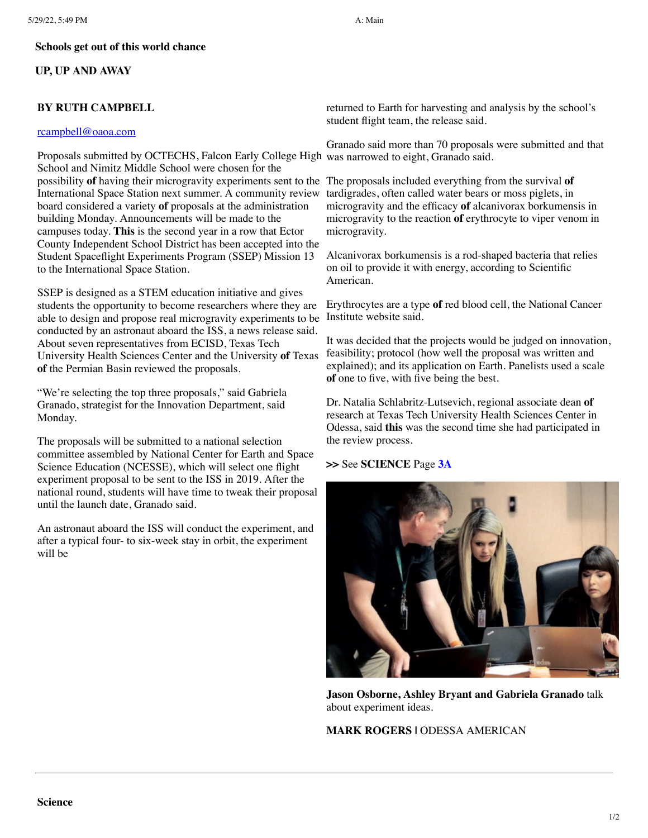#### **Schools get out of this world chance**

### **UP, UP AND AWAY**

#### **BY RUTH CAMPBELL**

## [rcampbell@oaoa.com](mailto:rcampbell@oaoa.com)

Proposals submitted by OCTECHS, Falcon Early College High was narrowed to eight, Granado said. School and Nimitz Middle School were chosen for the possibility **of** having their microgravity experiments sent to the The proposals included everything from the survival **of** International Space Station next summer. A community review tardigrades, often called water bears or moss piglets, in board considered a variety **of** proposals at the administration building Monday. Announcements will be made to the campuses today. **This** is the second year in a row that Ector County Independent School District has been accepted into the Student Spaceflight Experiments Program (SSEP) Mission 13 to the International Space Station.

SSEP is designed as a STEM education initiative and gives students the opportunity to become researchers where they are able to design and propose real microgravity experiments to be Institute website said. conducted by an astronaut aboard the ISS, a news release said. About seven representatives from ECISD, Texas Tech University Health Sciences Center and the University **of** Texas **of** the Permian Basin reviewed the proposals.

"We're selecting the top three proposals," said Gabriela Granado, strategist for the Innovation Department, said Monday.

The proposals will be submitted to a national selection committee assembled by National Center for Earth and Space Science Education (NCESSE), which will select one flight experiment proposal to be sent to the ISS in 2019. After the national round, students will have time to tweak their proposal until the launch date, Granado said.

An astronaut aboard the ISS will conduct the experiment, and after a typical four- to six-week stay in orbit, the experiment will be

returned to Earth for harvesting and analysis by the school's student flight team, the release said.

Granado said more than 70 proposals were submitted and that

microgravity and the efficacy **of** alcanivorax borkumensis in microgravity to the reaction **of** erythrocyte to viper venom in microgravity.

Alcanivorax borkumensis is a rod-shaped bacteria that relies on oil to provide it with energy, according to Scientific American.

Erythrocytes are a type **of** red blood cell, the National Cancer

It was decided that the projects would be judged on innovation, feasibility; protocol (how well the proposal was written and explained); and its application on Earth. Panelists used a scale **of** one to five, with five being the best.

Dr. Natalia Schlabritz-Lutsevich, regional associate dean **of** research at Texas Tech University Health Sciences Center in Odessa, said **this** was the second time she had participated in the review process.

**>>** See **SCIENCE** Page **[3A](javascript:gotoPage("A","A03");)**



**Jason Osborne, Ashley Bryant and Gabriela Granado** talk about experiment ideas.

# **MARK ROGERS |** ODESSA AMERICAN